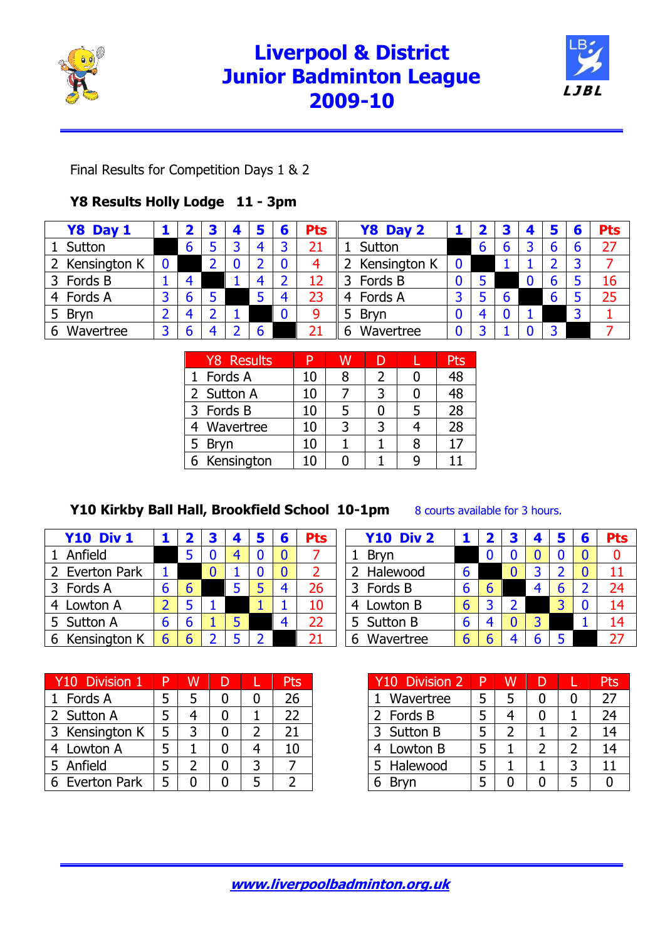

## **Liverpool & District Junior Badminton League 2009-10**



Final Results for Competition Days 1 & 2

### **Y8 Results Holly Lodge 11 - 3pm**

| Y8 Day 1       |   | 4 | 5 | 6 | <b>Pts</b> | Y8 Day 2         |   |   | 4 | 5 | 6 | <b>Pts</b> |
|----------------|---|---|---|---|------------|------------------|---|---|---|---|---|------------|
| Sutton         | 6 | 3 | 4 |   | 21         | Sutton           | b | b |   | b | 6 | 27         |
| 2 Kensington K |   |   |   |   | 4          | 2 Kensington K   |   |   |   |   | 3 |            |
| Fords B<br>3   | 4 |   | 4 |   | 12         | Fords B          |   |   | Ü | b |   | 16         |
| 4 Fords A      | 6 |   |   | 4 | 23         | 4 Fords A        |   |   |   | b |   | 25         |
| <b>Bryn</b>    | 4 |   |   | 0 | 9          | <b>Bryn</b><br>5 |   |   |   |   | 3 |            |
| Wavertree      | 6 |   |   |   |            | Wavertree<br>b   |   |   |   |   |   |            |

| <b>Y8 Results</b> |    |  | Pts |
|-------------------|----|--|-----|
| 1 Fords A         | 10 |  | 48  |
| 2 Sutton A        | 10 |  | 48  |
| 3 Fords B         | 10 |  | 28  |
| 4 Wavertree       | 10 |  | 28  |
| 5 Bryn            | 10 |  |     |
| 6 Kensington      |    |  |     |

### **Y10 Kirkby Ball Hall, Brookfield School 10-1pm** 8 courts available for 3 hours.

| <b>Y10 Div 1</b> |   |  |  | Pts | <b>Y10 Div 2</b> |   |  |  | <b>Pts</b> |
|------------------|---|--|--|-----|------------------|---|--|--|------------|
| 1 Anfield        |   |  |  |     | <b>Bryn</b>      |   |  |  |            |
| 2 Everton Park   |   |  |  |     | Halewood         |   |  |  |            |
| 3 Fords A        |   |  |  | 26  | Fords B          |   |  |  | 24         |
| 4 Lowton A       |   |  |  | 10  | Lowton B<br>4    | b |  |  | 14         |
| 5 Sutton A       | b |  |  | 22  | 5 Sutton B       |   |  |  | 14         |
| 6 Kensington K   |   |  |  | 21  | Wavertree<br>b   | b |  |  | 27         |

| Y10 Division 1 |   |  | Pts |
|----------------|---|--|-----|
| 1 Fords A      |   |  | 26  |
| 2 Sutton A     |   |  | 22  |
| 3 Kensington K | 5 |  | 21  |
| 4 Lowton A     |   |  | 10  |
| 5 Anfield      |   |  |     |
| 6 Everton Park |   |  |     |

| Y10 Division 2 | P |  | łς |
|----------------|---|--|----|
| Wavertree      |   |  | 27 |
| 2 Fords B      |   |  | 24 |
| 3 Sutton B     |   |  | 14 |
| 4 Lowton B     |   |  | 14 |
| 5 Halewood     |   |  |    |
| Brvn           |   |  |    |